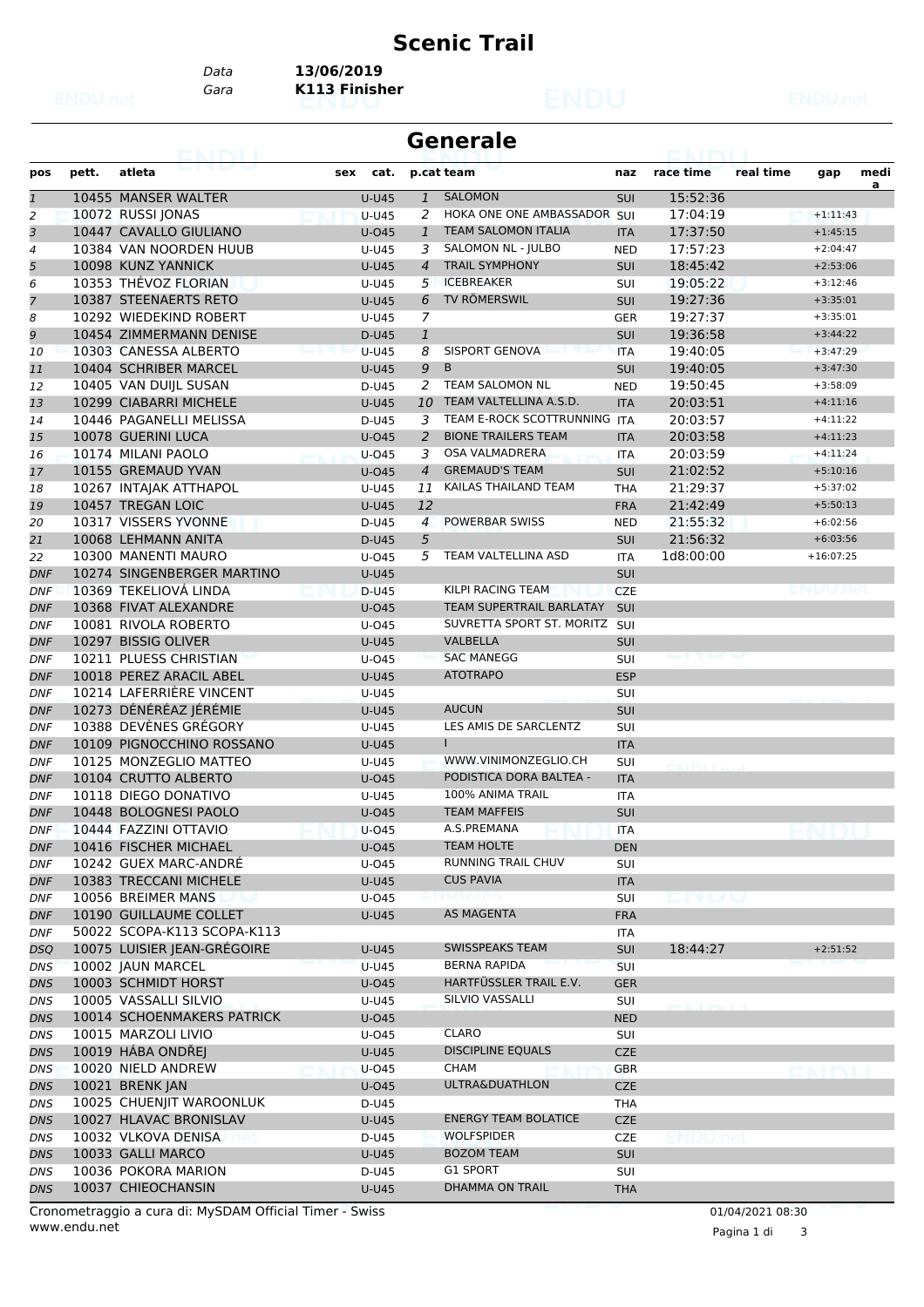## **Scenic Trail**

*Data* **13/06/2019**

*Gara* **K113 Finisher**

| <b>Generale</b> |       |                             |              |                |                               |            |           |           |             |      |
|-----------------|-------|-----------------------------|--------------|----------------|-------------------------------|------------|-----------|-----------|-------------|------|
| pos             | pett. | atleta                      | cat.<br>sex  |                | p.cat team                    | naz        | race time | real time | gap         | medi |
| $\overline{1}$  |       | 10455 MANSER WALTER         | <b>U-U45</b> | $\mathbf{1}$   | <b>SALOMON</b>                | <b>SUI</b> | 15:52:36  |           |             | a    |
| 2               |       | 10072 RUSSI JONAS           | <b>U-U45</b> | 2              | HOKA ONE ONE AMBASSADOR SUI   |            | 17:04:19  |           | $+1:11:43$  |      |
| 3               |       | 10447 CAVALLO GIULIANO      | $U$ -045     | $\mathbf{1}$   | <b>TEAM SALOMON ITALIA</b>    | <b>ITA</b> | 17:37:50  |           | $+1:45:15$  |      |
| 4               |       | 10384 VAN NOORDEN HUUB      | U-U45        | 3              | SALOMON NL - JULBO            | <b>NED</b> | 17:57:23  |           | $+2:04:47$  |      |
| 5               |       | 10098 KUNZ YANNICK          | U-U45        | $\overline{4}$ | <b>TRAIL SYMPHONY</b>         | <b>SUI</b> | 18:45:42  |           | $+2:53:06$  |      |
| 6               |       | 10353 THEVOZ FLORIAN        | U-U45        | 5              | <b>ICEBREAKER</b>             | SUI        | 19:05:22  |           | $+3:12:46$  |      |
| $\overline{7}$  |       | 10387 STEENAERTS RETO       | U-U45        | 6              | <b>TV RÖMERSWIL</b>           | <b>SUI</b> | 19:27:36  |           | $+3:35:01$  |      |
| 8               |       | 10292 WIEDEKIND ROBERT      | U-U45        | 7              |                               | <b>GER</b> | 19:27:37  |           | $+3:35:01$  |      |
| 9               |       | 10454 ZIMMERMANN DENISE     | D-U45        | $\mathbf{1}$   |                               | <b>SUI</b> | 19:36:58  |           | $+3:44:22$  |      |
| 10              |       | 10303 CANESSA ALBERTO       | $U-U45$      | 8              | <b>SISPORT GENOVA</b>         | <b>ITA</b> | 19:40:05  |           | $+3:47:29$  |      |
| 11              |       | 10404 SCHRIBER MARCEL       | <b>U-U45</b> | 9              | B                             | <b>SUI</b> | 19:40:05  |           | $+3:47:30$  |      |
| 12              |       | 10405 VAN DUIJL SUSAN       | D-U45        |                | 2 TEAM SALOMON NL             | <b>NED</b> | 19:50:45  |           | $+3:58:09$  |      |
| 13              |       | 10299 CIABARRI MICHELE      | <b>U-U45</b> | 10             | TEAM VALTELLINA A.S.D.        | <b>ITA</b> | 20:03:51  |           | $+4:11:16$  |      |
| 14              |       | 10446 PAGANELLI MELISSA     | D-U45        | 3              | TEAM E-ROCK SCOTTRUNNING ITA  |            | 20:03:57  |           | $+4:11:22$  |      |
| 15              |       | 10078 GUERINI LUCA          | U-045        | 2              | <b>BIONE TRAILERS TEAM</b>    | <b>ITA</b> | 20:03:58  |           | $+4:11:23$  |      |
| 16              |       | 10174 MILANI PAOLO          | U-045        | 3              | OSA VALMADRERA                | <b>ITA</b> | 20:03:59  |           | $+4:11:24$  |      |
| 17              |       | 10155 GREMAUD YVAN          | $U$ -045     | $\overline{4}$ | <b>GREMAUD'S TEAM</b>         | <b>SUI</b> | 21:02:52  |           | $+5:10:16$  |      |
| 18              |       | 10267 INTAJAK ATTHAPOL      | U-U45        | 11             | KAILAS THAILAND TEAM          | <b>THA</b> | 21:29:37  |           | $+5:37:02$  |      |
| 19              |       | 10457 TREGAN LOIC           | <b>U-U45</b> | 12             |                               | <b>FRA</b> | 21:42:49  |           | $+5:50:13$  |      |
| 20              |       | 10317 VISSERS YVONNE        | D-U45        | $\overline{4}$ | <b>POWERBAR SWISS</b>         | <b>NED</b> | 21:55:32  |           | $+6:02:56$  |      |
| 21              |       | 10068 LEHMANN ANITA         | D-U45        | 5              |                               | <b>SUI</b> | 21:56:32  |           | $+6:03:56$  |      |
| 22              |       | 10300 MANENTI MAURO         | U-045        | 5              | TEAM VALTELLINA ASD           | <b>ITA</b> | 1d8:00:00 |           | $+16:07:25$ |      |
| <b>DNF</b>      |       | 10274 SINGENBERGER MARTINO  | <b>U-U45</b> |                |                               | <b>SUI</b> |           |           |             |      |
| <b>DNF</b>      |       | 10369 TEKELIOVÁ LINDA       | D-U45        |                | KILPI RACING TEAM             | <b>CZE</b> |           |           | endunei     |      |
| <b>DNF</b>      |       | 10368 FIVAT ALEXANDRE       | U-045        |                | TEAM SUPERTRAIL BARLATAY      | SUI        |           |           |             |      |
| <b>DNF</b>      |       | 10081 RIVOLA ROBERTO        | U-045        |                | SUVRETTA SPORT ST. MORITZ SUI |            |           |           |             |      |
| <b>DNF</b>      |       | 10297 BISSIG OLIVER         | <b>U-U45</b> |                | <b>VALBELLA</b>               | <b>SUI</b> |           |           |             |      |
| <b>DNF</b>      |       | 10211 PLUESS CHRISTIAN      | $U$ -045     |                | <b>SAC MANEGG</b>             | <b>SUI</b> |           |           |             |      |
| <b>DNF</b>      |       | 10018 PEREZ ARACIL ABEL     | <b>U-U45</b> |                | <b>ATOTRAPO</b>               | <b>ESP</b> |           |           |             |      |
| <b>DNF</b>      |       | 10214 LAFERRIÈRE VINCENT    | U-U45        |                |                               | SUI        |           |           |             |      |
| <b>DNF</b>      |       | 10273 DÉNÉRÉAZ JÉRÉMIE      | U-U45        |                | <b>AUCUN</b>                  | <b>SUI</b> |           |           |             |      |
| <b>DNF</b>      |       | 10388 DEVÈNES GRÉGORY       | U-U45        |                | LES AMIS DE SARCLENTZ         | <b>SUI</b> |           |           |             |      |
| <b>DNF</b>      |       | 10109 PIGNOCCHINO ROSSANO   | <b>U-U45</b> |                | L                             | <b>ITA</b> |           |           |             |      |
| <b>DNF</b>      |       | 10125 MONZEGLIO MATTEO      | U-U45        |                | WWW.VINIMONZEGLIO.CH          | <b>SUI</b> |           |           |             |      |
| <b>DNF</b>      |       | 10104 CRUTTO ALBERTO        | U-045        |                | PODISTICA DORA BALTEA -       | <b>ITA</b> |           |           |             |      |
| <b>DNF</b>      |       | 10118 DIEGO DONATIVO        | U-U45        |                | 100% ANIMA TRAIL              | <b>ITA</b> |           |           |             |      |
| <b>DNF</b>      |       | 10448 BOLOGNESI PAOLO       | $U$ -045     |                | <b>TEAM MAFFEIS</b>           | <b>SUI</b> |           |           |             |      |
| <b>DNF</b>      |       | 10444 FAZZINI OTTAVIO       | $U-045$      |                | A.S.PREMANA                   | <b>ITA</b> |           |           |             |      |
| DNF             |       | 10416 FISCHER MICHAEL       | $U$ -045     |                | <b>TEAM HOLTE</b>             | <b>DEN</b> |           |           |             |      |
| DNF             |       | 10242 GUEX MARC-ANDRÉ       | U-045        |                | RUNNING TRAIL CHUV            | <b>SUI</b> |           |           |             |      |
| <b>DNF</b>      |       | 10383 TRECCANI MICHELE      | U-U45        |                | <b>CUS PAVIA</b>              | <b>ITA</b> |           |           |             |      |
| DNF             |       | 10056 BREIMER MANS          | U-045        |                |                               | SUI        | ENLW      |           |             |      |
| DNF             |       | 10190 GUILLAUME COLLET      | U-U45        |                | AS MAGENTA                    | <b>FRA</b> |           |           |             |      |
|                 |       | 50022 SCOPA-K113 SCOPA-K113 |              |                |                               |            |           |           |             |      |
| DNF             |       | 10075 LUISIER JEAN-GRÉGOIRE |              |                | <b>SWISSPEAKS TEAM</b>        | ITA<br>SUI | 18:44:27  |           | $+2:51:52$  |      |
| DSQ             |       |                             | <b>U-U45</b> |                | <b>BERNA RAPIDA</b>           |            |           |           |             |      |
| <b>DNS</b>      |       | 10002 JAUN MARCEL           | <b>U-U45</b> |                | HARTFÜSSLER TRAIL E.V.        | <b>SUI</b> |           |           |             |      |
| <b>DNS</b>      |       | 10003 SCHMIDT HORST         | U-045        |                |                               | <b>GER</b> |           |           |             |      |
| DNS             |       | 10005 VASSALLI SILVIO       | U-U45        |                | SILVIO VASSALLI               | SUI        |           |           |             |      |
| DNS             |       | 10014 SCHOENMAKERS PATRICK  | U-045        |                |                               | <b>NED</b> |           |           |             |      |
| DNS             |       | 10015 MARZOLI LIVIO         | U-045        |                | <b>CLARO</b>                  | <b>SUI</b> |           |           |             |      |
| DNS             |       | 10019 HÁBA ONDŘEJ           | U-U45        |                | <b>DISCIPLINE EQUALS</b>      | <b>CZE</b> |           |           |             |      |
| <b>DNS</b>      |       | 10020 NIELD ANDREW          | U-045        |                | <b>CHAM</b>                   | <b>GBR</b> |           |           |             |      |
| <b>DNS</b>      |       | 10021 BRENK JAN             | U-045        |                | ULTRA&DUATHLON                | <b>CZE</b> |           |           |             |      |
| DNS             |       | 10025 CHUENJIT WAROONLUK    | D-U45        |                |                               | <b>THA</b> |           |           |             |      |
| DNS             |       | 10027 HLAVAC BRONISLAV      | U-U45        |                | <b>ENERGY TEAM BOLATICE</b>   | <b>CZE</b> |           |           |             |      |
| DNS             |       | 10032 VLKOVA DENISA         | D-U45        |                | <b>WOLFSPIDER</b>             | <b>CZE</b> |           |           |             |      |
| DNS             |       | 10033 GALLI MARCO           | U-U45        |                | <b>BOZOM TEAM</b>             | <b>SUI</b> |           |           |             |      |
| DNS             |       | 10036 POKORA MARION         | D-U45        |                | G1 SPORT                      | <b>SUI</b> |           |           |             |      |
| <b>DNS</b>      |       | 10037 CHIEOCHANSIN          | U-U45        |                | <b>DHAMMA ON TRAIL</b>        | <b>THA</b> |           |           |             |      |

www.endu.net Cronometraggio a cura di: MySDAM Official Timer - Swiss 01/04/2021 08:30

Pagina 1 di 3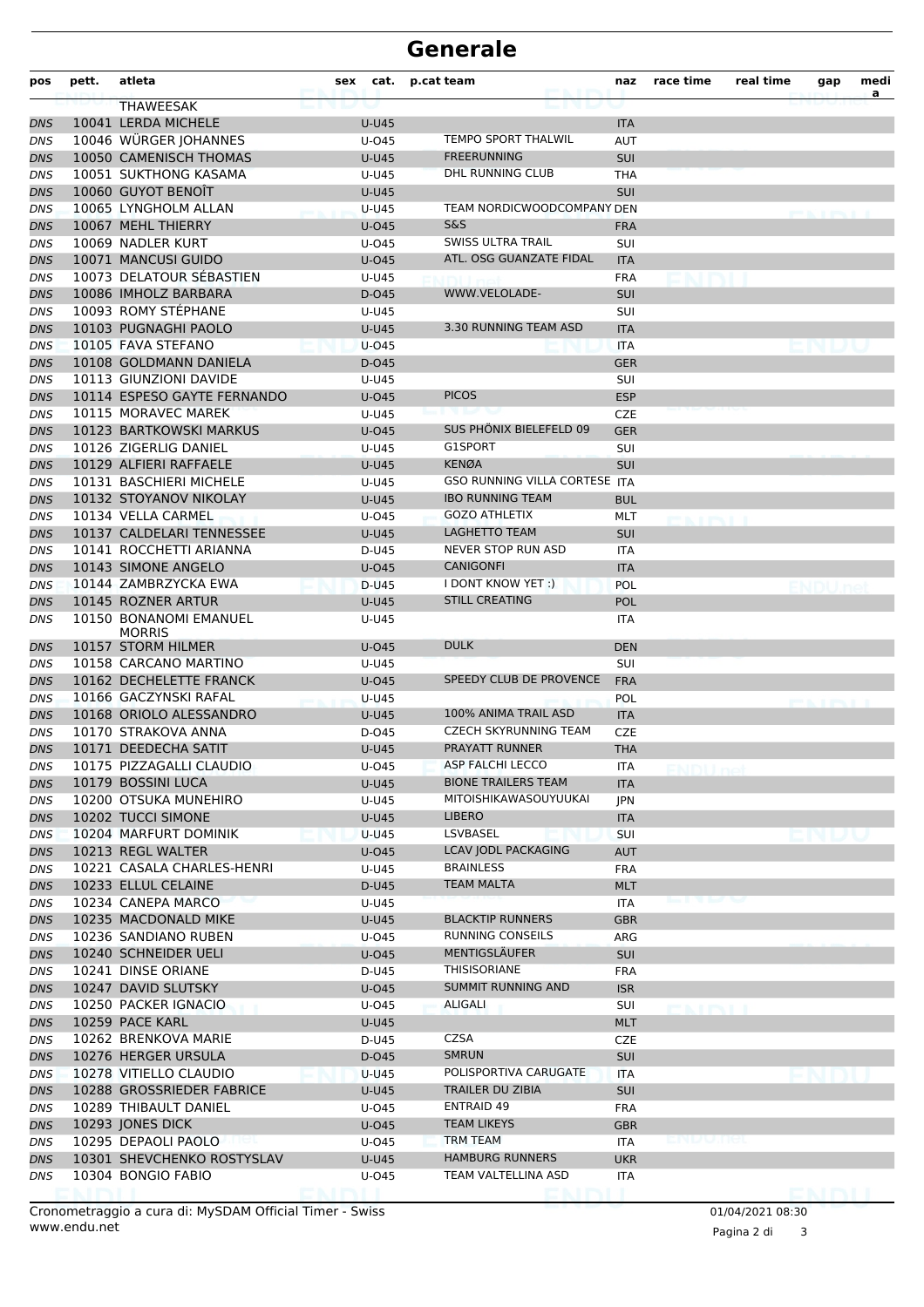## **Generale**

| pos               | pett. | atleta                                      | sex |                | cat. p.cat team                      | naz        | race time                    | real time | gap     | medi<br>a |
|-------------------|-------|---------------------------------------------|-----|----------------|--------------------------------------|------------|------------------------------|-----------|---------|-----------|
|                   |       | <b>THAWEESAK</b>                            |     |                |                                      |            |                              |           |         |           |
| DNS               |       | 10041 LERDA MICHELE                         |     | <b>U-U45</b>   |                                      | <b>ITA</b> |                              |           |         |           |
| DNS               |       | 10046 WÜRGER JOHANNES                       |     | U-045          | <b>TEMPO SPORT THALWIL</b>           | <b>AUT</b> |                              |           |         |           |
| DNS               |       | 10050 CAMENISCH THOMAS                      |     | <b>U-U45</b>   | <b>FREERUNNING</b>                   | <b>SUI</b> |                              |           |         |           |
| DNS               |       | 10051 SUKTHONG KASAMA                       |     | U-U45          | <b>DHL RUNNING CLUB</b>              | <b>THA</b> |                              |           |         |           |
| DNS               |       | 10060 GUYOT BENOIT                          |     | <b>U-U45</b>   |                                      | <b>SUI</b> |                              |           |         |           |
| DNS               |       | 10065 LYNGHOLM ALLAN                        |     | <b>U-U45</b>   | TEAM NORDICWOODCOMPANY DEN           |            |                              |           |         |           |
| <b>DNS</b>        |       | 10067 MEHL THIERRY                          |     | U-045          | <b>S&amp;S</b>                       | <b>FRA</b> |                              |           |         |           |
| DNS               |       | 10069 NADLER KURT                           |     | U-045          | SWISS ULTRA TRAIL                    | <b>SUI</b> |                              |           |         |           |
| DNS               |       | 10071 MANCUSI GUIDO                         |     | <b>U-045</b>   | ATL. OSG GUANZATE FIDAL              | <b>ITA</b> |                              |           |         |           |
| DNS               |       | 10073 DELATOUR SEBASTIEN                    |     | U-U45          |                                      | <b>FRA</b> |                              |           |         |           |
| DNS               |       | 10086 IMHOLZ BARBARA                        |     | D-045          | WWW.VELOLADE-                        | <b>SUI</b> |                              |           |         |           |
| DNS               |       | 10093 ROMY STÉPHANE                         |     | U-U45          |                                      | SUI        |                              |           |         |           |
| DNS               |       | 10103 PUGNAGHI PAOLO                        |     | <b>U-U45</b>   | 3.30 RUNNING TEAM ASD                | <b>ITA</b> |                              |           |         |           |
| <b>DNS</b>        |       | 10105 FAVA STEFANO                          |     | $U$ -045       |                                      | <b>ITA</b> |                              |           |         |           |
| DNS               |       | 10108 GOLDMANN DANIELA                      |     | D-045          |                                      | <b>GER</b> |                              |           |         |           |
| DNS               |       | 10113 GIUNZIONI DAVIDE                      |     | U-U45          |                                      | SUI        |                              |           |         |           |
| <b>DNS</b>        |       | 10114 ESPESO GAYTE FERNANDO                 |     | U-045          | <b>PICOS</b>                         | <b>ESP</b> |                              |           |         |           |
| DNS               |       | 10115 MORAVEC MAREK                         |     | U-U45          |                                      | <b>CZE</b> |                              |           |         |           |
| DNS               |       | 10123 BARTKOWSKI MARKUS                     |     | U-045          | <b>SUS PHONIX BIELEFELD 09</b>       | <b>GER</b> |                              |           |         |           |
| <b>DNS</b>        |       | 10126 ZIGERLIG DANIEL                       |     | U-U45          | G1SPORT                              | <b>SUI</b> |                              |           |         |           |
| DNS               |       | 10129 ALFIERI RAFFAELE                      |     | <b>U-U45</b>   | <b>KENØA</b>                         | <b>SUI</b> |                              |           |         |           |
| DNS               |       | 10131 BASCHIERI MICHELE                     |     | U-U45          | <b>GSO RUNNING VILLA CORTESE ITA</b> |            |                              |           |         |           |
| <b>DNS</b>        |       | 10132 STOYANOV NIKOLAY                      |     | <b>U-U45</b>   | <b>IBO RUNNING TEAM</b>              | <b>BUL</b> |                              |           |         |           |
| DNS               |       | 10134 VELLA CARMEL                          |     | U-045          | <b>GOZO ATHLETIX</b>                 | MLT        | <b>BOTHERS III</b>           |           |         |           |
| <b>DNS</b>        |       | 10137 CALDELARI TENNESSEE                   |     | <b>U-U45</b>   | <b>LAGHETTO TEAM</b>                 | <b>SUI</b> |                              |           |         |           |
| <b>DNS</b>        |       | 10141 ROCCHETTI ARIANNA                     |     | D-U45          | NEVER STOP RUN ASD                   | <b>ITA</b> |                              |           |         |           |
| DNS               |       | 10143 SIMONE ANGELO                         |     | <b>U-045</b>   | <b>CANIGONFI</b>                     | <b>ITA</b> |                              |           |         |           |
| DNS               |       | 10144 ZAMBRZYCKA EWA                        |     | D-U45          | I DONT KNOW YET :)                   | <b>POL</b> |                              |           |         |           |
| DNS               |       | 10145 ROZNER ARTUR                          |     | <b>U-U45</b>   | <b>STILL CREATING</b>                | <b>POL</b> |                              |           |         |           |
| DNS               |       | 10150 BONANOMI EMANUEL                      |     | U-U45          |                                      | ITA        |                              |           |         |           |
|                   |       | <b>MORRIS</b>                               |     |                |                                      |            |                              |           |         |           |
| DNS               |       | 10157 STORM HILMER                          |     | U-045          | <b>DULK</b>                          | <b>DEN</b> |                              |           |         |           |
| DNS               |       | 10158 CARCANO MARTINO                       |     | U-U45          |                                      | SUI        |                              |           |         |           |
| <b>DNS</b>        |       | 10162 DECHELETTE FRANCK                     |     | U-045          | SPEEDY CLUB DE PROVENCE              | <b>FRA</b> |                              |           |         |           |
| DNS               |       | 10166 GACZYNSKI RAFAL                       |     | U-U45          |                                      | POL        |                              |           |         |           |
| DNS               |       | 10168 ORIOLO ALESSANDRO                     |     | <b>U-U45</b>   | 100% ANIMA TRAIL ASD                 | <b>ITA</b> |                              |           |         |           |
| DNS               |       | 10170 STRAKOVA ANNA                         |     | D-045          | <b>CZECH SKYRUNNING TEAM</b>         | CZE        |                              |           |         |           |
| DNS               |       | 10171 DEEDECHA SATIT                        |     | <b>U-U45</b>   | PRAYATT RUNNER                       | THA        |                              |           |         |           |
| DNS               |       | 10175 PIZZAGALLI CLAUDIO                    |     | U-045          | <b>ASP FALCHI LECCO</b>              | ITA        |                              |           |         |           |
| DNS               |       | 10179 BOSSINI LUCA                          |     | <b>U-U45</b>   | <b>BIONE TRAILERS TEAM</b>           | <b>ITA</b> |                              |           |         |           |
| DNS               |       | 10200 OTSUKA MUNEHIRO                       |     | U-U45          | MITOISHIKAWASOUYUUKAI                | JPN        |                              |           |         |           |
| DNS               |       | 10202 TUCCI SIMONE                          |     | U-U45          | <b>LIBERO</b>                        | <b>ITA</b> |                              |           |         |           |
| <b>DNS</b>        |       | 10204 MARFURT DOMINIK                       |     | <b>U-U45</b>   | LSVBASEL                             | <b>SUI</b> |                              |           |         |           |
| <b>DNS</b>        |       | 10213 REGL WALTER                           |     | U-045          | LCAV JODL PACKAGING                  | <b>AUT</b> |                              |           |         |           |
| DNS               |       | 10221 CASALA CHARLES-HENRI                  |     | U-U45          | <b>BRAINLESS</b>                     | <b>FRA</b> |                              |           |         |           |
| DNS               |       | 10233 ELLUL CELAINE                         |     | D-U45          | <b>TEAM MALTA</b>                    | <b>MLT</b> |                              |           |         |           |
| DNS               |       | 10234 CANEPA MARCO                          |     | U-U45          |                                      | ITA        |                              |           |         |           |
| DNS               |       | 10235 MACDONALD MIKE                        |     | U-U45          | <b>BLACKTIP RUNNERS</b>              | <b>GBR</b> |                              |           |         |           |
| DNS               |       | 10236 SANDIANO RUBEN                        |     | U-045          | <b>RUNNING CONSEILS</b>              | ARG        |                              |           |         |           |
| <b>DNS</b>        |       | 10240 SCHNEIDER UELI                        |     | U-045          | MENTIGSLÄUFER                        | <b>SUI</b> |                              |           |         |           |
| <b>DNS</b>        |       | 10241 DINSE ORIANE                          |     | D-U45          | THISISORIANE                         | <b>FRA</b> |                              |           |         |           |
| DNS               |       | 10247 DAVID SLUTSKY                         |     | U-045          | <b>SUMMIT RUNNING AND</b>            | <b>ISR</b> |                              |           |         |           |
| DNS               |       | 10250 PACKER IGNACIO                        |     | U-045          | ALIGALI                              | SUI        |                              |           |         |           |
|                   |       | 10259 PACE KARL                             |     | <b>U-U45</b>   |                                      | <b>MLT</b> | <b>PERMIT BALLAS DE L'AR</b> |           |         |           |
| DNS               |       |                                             |     |                | CZSA                                 |            |                              |           |         |           |
| DNS<br><b>DNS</b> |       | 10262 BRENKOVA MARIE<br>10276 HERGER URSULA |     | D-U45<br>D-045 | <b>SMRUN</b>                         | CZE        |                              |           |         |           |
|                   |       |                                             |     |                |                                      | <b>SUI</b> |                              |           |         |           |
| DNS               |       | 10278 VITIELLO CLAUDIO                      |     | <b>U-U45</b>   | POLISPORTIVA CARUGATE                | <b>ITA</b> |                              |           |         |           |
| DNS               |       | 10288 GROSSRIEDER FABRICE                   |     | <b>U-U45</b>   | TRAILER DU ZIBIA                     | <b>SUI</b> |                              |           |         |           |
| DNS               |       | 10289 THIBAULT DANIEL                       |     | U-045          | <b>ENTRAID 49</b>                    | <b>FRA</b> |                              |           |         |           |
| DNS               |       | 10293 JONES DICK                            |     | $U$ -045       | <b>TEAM LIKEYS</b>                   | <b>GBR</b> |                              |           |         |           |
| DNS               |       | 10295 DEPAOLI PAOLO                         |     | U-045          | TRM TEAM                             | ITA        | enpone                       |           |         |           |
| DNS               |       | 10301 SHEVCHENKO ROSTYSLAV                  |     | U-U45          | <b>HAMBURG RUNNERS</b>               | <b>UKR</b> |                              |           |         |           |
| DNS               |       | 10304 BONGIO FABIO                          |     | U-045          | TEAM VALTELLINA ASD                  | ITA        |                              |           |         |           |
|                   |       |                                             |     |                |                                      |            |                              |           | enimi'i |           |

www.endu.net Cronometraggio a cura di: MySDAM Official Timer - Swiss 01/04/2021 08:30

Pagina 2 di 3